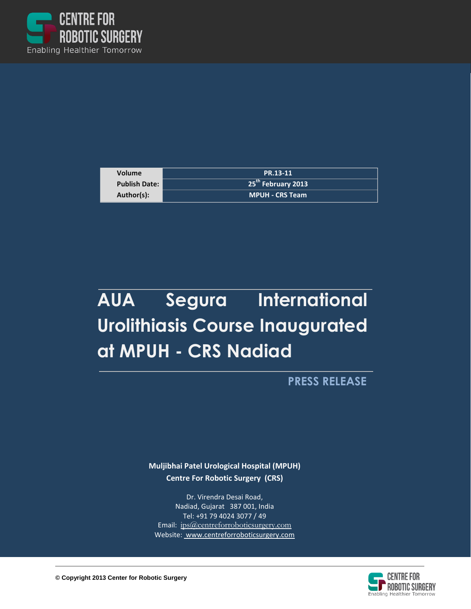

| <b>Volume</b>        | PR.13-11                           |
|----------------------|------------------------------------|
| <b>Publish Date:</b> | $'$ 25 <sup>th</sup> February 2013 |
| Author(s):           | <b>MPUH - CRS Team</b>             |

## **AUA Segura International Urolithiasis Course Inaugurated at MPUH - CRS Nadiad**

**PRESS RELEASE**

**Muljibhai Patel Urological Hospital (MPUH) Centre For Robotic Surgery (CRS)**

Dr. Virendra Desai Road, Nadiad, Gujarat 387 001, India Tel: +91 79 4024 3077 / 49 Email: ips@centreforroboticsurgery.com Website: [www.centreforroboticsurgery.com](http://www.centreforroboticsurgery.com/)

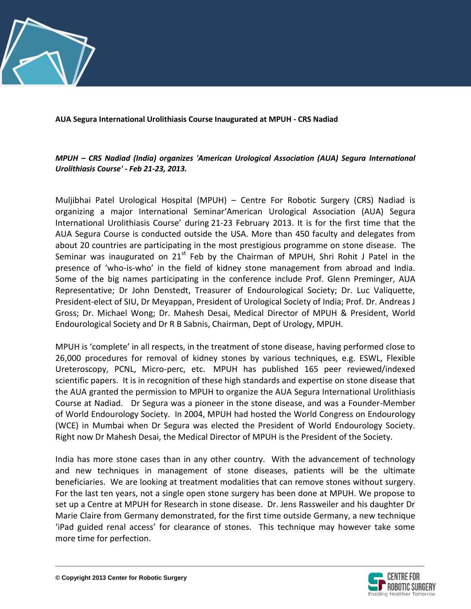

**AUA Segura International Urolithiasis Course Inaugurated at MPUH - CRS Nadiad**

*MPUH – CRS Nadiad (India) organizes 'American Urological Association (AUA) Segura International Urolithiasis Course' - Feb 21-23, 2013.*

Muljibhai Patel Urological Hospital (MPUH) – Centre For Robotic Surgery (CRS) Nadiad is organizing a major International Seminar'American Urological Association (AUA) Segura International Urolithiasis Course' during 21-23 February 2013. It is for the first time that the AUA Segura Course is conducted outside the USA. More than 450 faculty and delegates from about 20 countries are participating in the most prestigious programme on stone disease. The Seminar was inaugurated on  $21<sup>st</sup>$  Feb by the Chairman of MPUH, Shri Rohit J Patel in the presence of 'who-is-who' in the field of kidney stone management from abroad and India. Some of the big names participating in the conference include Prof. Glenn Preminger, AUA Representative; Dr John Denstedt, Treasurer of Endourological Society; Dr. Luc Valiquette, President-elect of SIU, Dr Meyappan, President of Urological Society of India; Prof. Dr. Andreas J Gross; Dr. Michael Wong; Dr. Mahesh Desai, Medical Director of MPUH & President, World Endourological Society and Dr R B Sabnis, Chairman, Dept of Urology, MPUH.

MPUH is 'complete' in all respects, in the treatment of stone disease, having performed close to 26,000 procedures for removal of kidney stones by various techniques, e.g. ESWL, Flexible Ureteroscopy, PCNL, Micro-perc, etc. MPUH has published 165 peer reviewed/indexed scientific papers. It is in recognition of these high standards and expertise on stone disease that the AUA granted the permission to MPUH to organize the AUA Segura International Urolithiasis Course at Nadiad. Dr Segura was a pioneer in the stone disease, and was a Founder-Member of World Endourology Society. In 2004, MPUH had hosted the World Congress on Endourology (WCE) in Mumbai when Dr Segura was elected the President of World Endourology Society. Right now Dr Mahesh Desai, the Medical Director of MPUH is the President of the Society.

India has more stone cases than in any other country. With the advancement of technology and new techniques in management of stone diseases, patients will be the ultimate beneficiaries. We are looking at treatment modalities that can remove stones without surgery. For the last ten years, not a single open stone surgery has been done at MPUH. We propose to set up a Centre at MPUH for Research in stone disease. Dr. Jens Rassweiler and his daughter Dr Marie Claire from Germany demonstrated, for the first time outside Germany, a new technique 'iPad guided renal access' for clearance of stones. This technique may however take some more time for perfection.

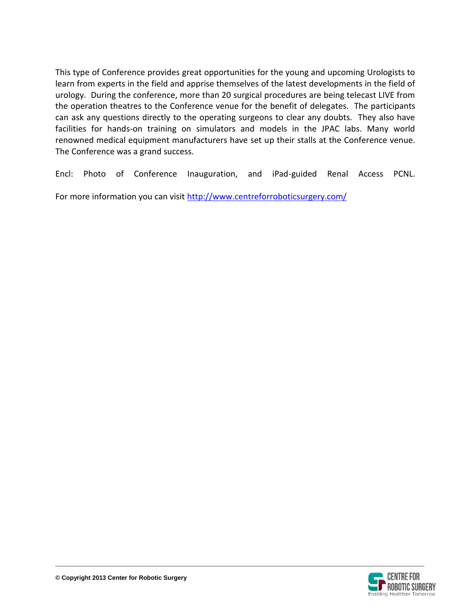This type of Conference provides great opportunities for the young and upcoming Urologists to learn from experts in the field and apprise themselves of the latest developments in the field of urology. During the conference, more than 20 surgical procedures are being telecast LIVE from the operation theatres to the Conference venue for the benefit of delegates. The participants can ask any questions directly to the operating surgeons to clear any doubts. They also have facilities for hands-on training on simulators and models in the JPAC labs. Many world renowned medical equipment manufacturers have set up their stalls at the Conference venue. The Conference was a grand success.

Encl: Photo of Conference Inauguration, and iPad-guided Renal Access PCNL.

For more information you can visit<http://www.centreforroboticsurgery.com/>